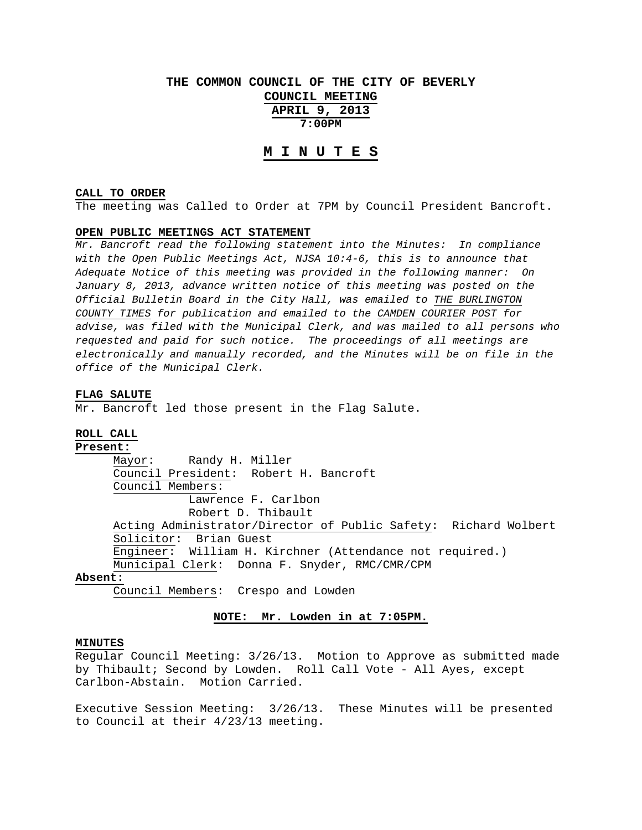# **THE COMMON COUNCIL OF THE CITY OF BEVERLY COUNCIL MEETING**

**APRIL 9, 2013 7:00PM** 

# **M I N U T E S**

## **CALL TO ORDER**

The meeting was Called to Order at 7PM by Council President Bancroft.

## **OPEN PUBLIC MEETINGS ACT STATEMENT**

*Mr. Bancroft read the following statement into the Minutes: In compliance with the Open Public Meetings Act, NJSA 10:4-6, this is to announce that Adequate Notice of this meeting was provided in the following manner: On January 8, 2013, advance written notice of this meeting was posted on the Official Bulletin Board in the City Hall, was emailed to THE BURLINGTON COUNTY TIMES for publication and emailed to the CAMDEN COURIER POST for advise, was filed with the Municipal Clerk, and was mailed to all persons who requested and paid for such notice. The proceedings of all meetings are electronically and manually recorded, and the Minutes will be on file in the office of the Municipal Clerk.* 

#### **FLAG SALUTE**

Mr. Bancroft led those present in the Flag Salute.

#### **ROLL CALL**

## **Present:**

 Mayor: Randy H. Miller Council President: Robert H. Bancroft Council Members: Lawrence F. Carlbon Robert D. Thibault Acting Administrator/Director of Public Safety: Richard Wolbert Solicitor: Brian Guest Engineer: William H. Kirchner (Attendance not required.) Municipal Clerk: Donna F. Snyder, RMC/CMR/CPM

# **Absent:**

Council Members: Crespo and Lowden

## **NOTE: Mr. Lowden in at 7:05PM.**

#### **MINUTES**

Regular Council Meeting: 3/26/13. Motion to Approve as submitted made by Thibault; Second by Lowden. Roll Call Vote - All Ayes, except Carlbon-Abstain. Motion Carried.

Executive Session Meeting: 3/26/13. These Minutes will be presented to Council at their 4/23/13 meeting.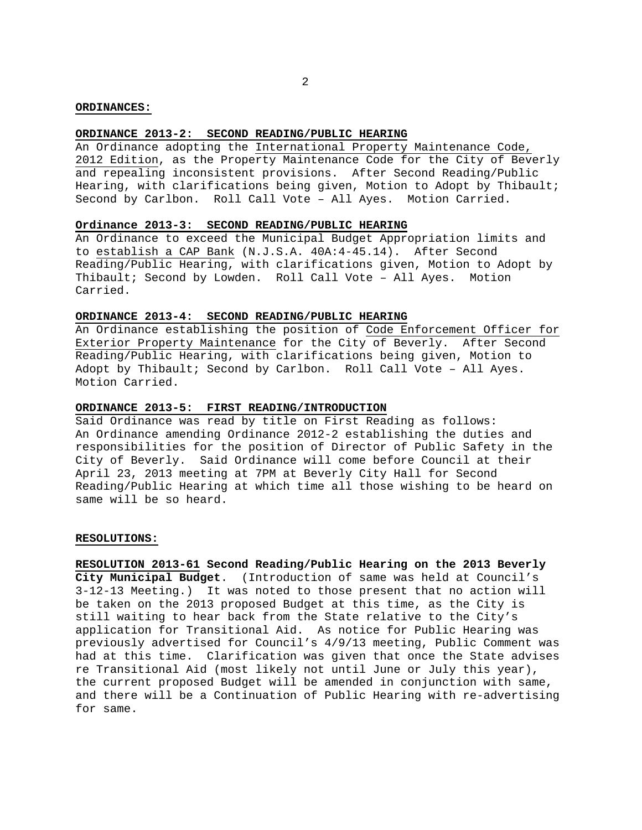### **ORDINANCES:**

## **ORDINANCE 2013-2: SECOND READING/PUBLIC HEARING**

An Ordinance adopting the International Property Maintenance Code, 2012 Edition, as the Property Maintenance Code for the City of Beverly and repealing inconsistent provisions. After Second Reading/Public Hearing, with clarifications being given, Motion to Adopt by Thibault; Second by Carlbon. Roll Call Vote – All Ayes. Motion Carried.

## **Ordinance 2013-3: SECOND READING/PUBLIC HEARING**

An Ordinance to exceed the Municipal Budget Appropriation limits and to establish a CAP Bank (N.J.S.A. 40A:4-45.14). After Second Reading/Public Hearing, with clarifications given, Motion to Adopt by Thibault; Second by Lowden. Roll Call Vote – All Ayes. Motion Carried.

## **ORDINANCE 2013-4: SECOND READING/PUBLIC HEARING**

An Ordinance establishing the position of Code Enforcement Officer for Exterior Property Maintenance for the City of Beverly. After Second Reading/Public Hearing, with clarifications being given, Motion to Adopt by Thibault; Second by Carlbon. Roll Call Vote – All Ayes. Motion Carried.

## **ORDINANCE 2013-5: FIRST READING/INTRODUCTION**

Said Ordinance was read by title on First Reading as follows: An Ordinance amending Ordinance 2012-2 establishing the duties and responsibilities for the position of Director of Public Safety in the City of Beverly. Said Ordinance will come before Council at their April 23, 2013 meeting at 7PM at Beverly City Hall for Second Reading/Public Hearing at which time all those wishing to be heard on same will be so heard.

#### **RESOLUTIONS:**

**RESOLUTION 2013-61 Second Reading/Public Hearing on the 2013 Beverly City Municipal Budget**. (Introduction of same was held at Council's 3-12-13 Meeting.) It was noted to those present that no action will be taken on the 2013 proposed Budget at this time, as the City is still waiting to hear back from the State relative to the City's application for Transitional Aid. As notice for Public Hearing was previously advertised for Council's 4/9/13 meeting, Public Comment was had at this time. Clarification was given that once the State advises re Transitional Aid (most likely not until June or July this year), the current proposed Budget will be amended in conjunction with same, and there will be a Continuation of Public Hearing with re-advertising for same.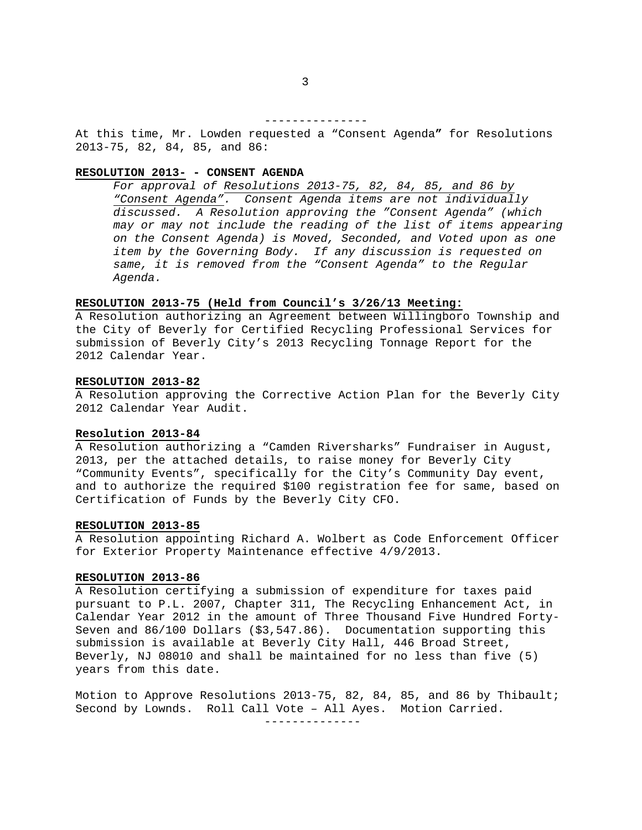---------------

At this time, Mr. Lowden requested a "Consent Agenda**"** for Resolutions 2013-75, 82, 84, 85, and 86:

# **RESOLUTION 2013- - CONSENT AGENDA**

*For approval of Resolutions 2013-75, 82, 84, 85, and 86 by "Consent Agenda". Consent Agenda items are not individually discussed. A Resolution approving the "Consent Agenda" (which may or may not include the reading of the list of items appearing on the Consent Agenda) is Moved, Seconded, and Voted upon as one item by the Governing Body. If any discussion is requested on same, it is removed from the "Consent Agenda" to the Regular Agenda.* 

### **RESOLUTION 2013-75 (Held from Council's 3/26/13 Meeting:**

A Resolution authorizing an Agreement between Willingboro Township and the City of Beverly for Certified Recycling Professional Services for submission of Beverly City's 2013 Recycling Tonnage Report for the 2012 Calendar Year.

#### **RESOLUTION 2013-82**

A Resolution approving the Corrective Action Plan for the Beverly City 2012 Calendar Year Audit.

## **Resolution 2013-84**

A Resolution authorizing a "Camden Riversharks" Fundraiser in August, 2013, per the attached details, to raise money for Beverly City "Community Events", specifically for the City's Community Day event, and to authorize the required \$100 registration fee for same, based on Certification of Funds by the Beverly City CFO.

#### **RESOLUTION 2013-85**

A Resolution appointing Richard A. Wolbert as Code Enforcement Officer for Exterior Property Maintenance effective 4/9/2013.

#### **RESOLUTION 2013-86**

A Resolution certifying a submission of expenditure for taxes paid pursuant to P.L. 2007, Chapter 311, The Recycling Enhancement Act, in Calendar Year 2012 in the amount of Three Thousand Five Hundred Forty-Seven and 86/100 Dollars (\$3,547.86). Documentation supporting this submission is available at Beverly City Hall, 446 Broad Street, Beverly, NJ 08010 and shall be maintained for no less than five (5) years from this date.

Motion to Approve Resolutions 2013-75, 82, 84, 85, and 86 by Thibault; Second by Lownds. Roll Call Vote – All Ayes. Motion Carried.

--------------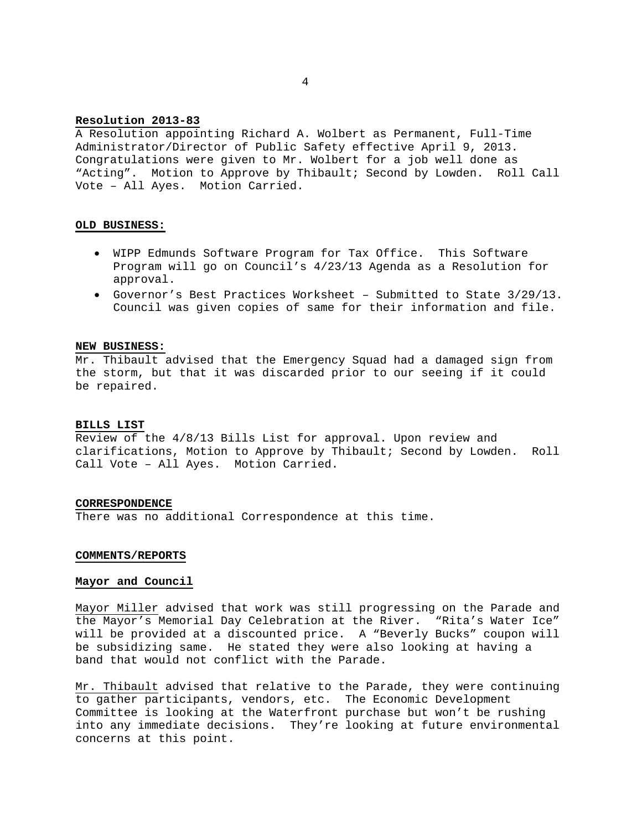## **Resolution 2013-83**

A Resolution appointing Richard A. Wolbert as Permanent, Full-Time Administrator/Director of Public Safety effective April 9, 2013. Congratulations were given to Mr. Wolbert for a job well done as "Acting". Motion to Approve by Thibault; Second by Lowden. Roll Call Vote – All Ayes. Motion Carried.

### **OLD BUSINESS:**

- WIPP Edmunds Software Program for Tax Office. This Software Program will go on Council's 4/23/13 Agenda as a Resolution for approval.
- Governor's Best Practices Worksheet Submitted to State 3/29/13. Council was given copies of same for their information and file.

#### **NEW BUSINESS:**

Mr. Thibault advised that the Emergency Squad had a damaged sign from the storm, but that it was discarded prior to our seeing if it could be repaired.

### **BILLS LIST**

Review of the 4/8/13 Bills List for approval. Upon review and clarifications, Motion to Approve by Thibault; Second by Lowden. Roll Call Vote – All Ayes. Motion Carried.

## **CORRESPONDENCE**

There was no additional Correspondence at this time.

### **COMMENTS/REPORTS**

### **Mayor and Council**

Mayor Miller advised that work was still progressing on the Parade and the Mayor's Memorial Day Celebration at the River. "Rita's Water Ice" will be provided at a discounted price. A "Beverly Bucks" coupon will be subsidizing same. He stated they were also looking at having a band that would not conflict with the Parade.

Mr. Thibault advised that relative to the Parade, they were continuing to gather participants, vendors, etc. The Economic Development Committee is looking at the Waterfront purchase but won't be rushing into any immediate decisions. They're looking at future environmental concerns at this point.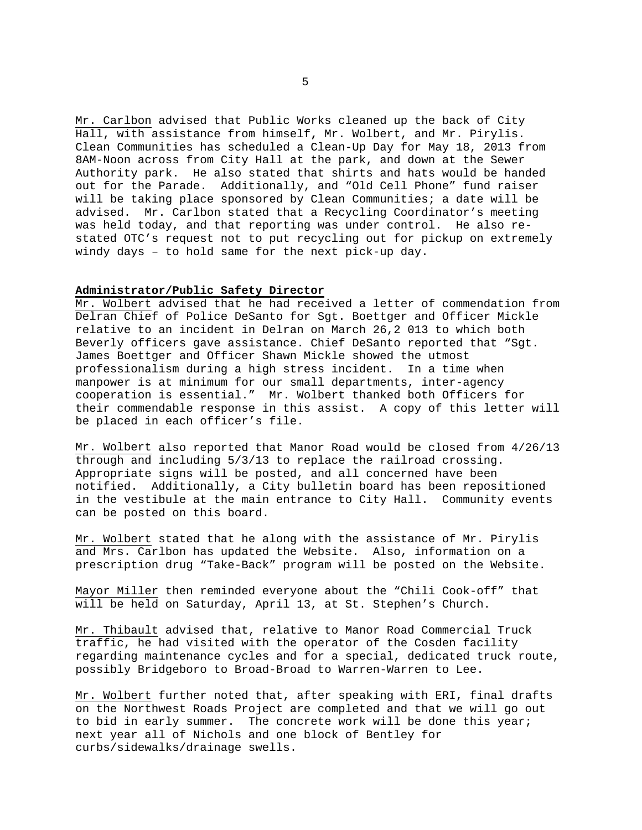Mr. Carlbon advised that Public Works cleaned up the back of City Hall, with assistance from himself**,** Mr. Wolbert, and Mr. Pirylis. Clean Communities has scheduled a Clean-Up Day for May 18, 2013 from 8AM-Noon across from City Hall at the park, and down at the Sewer Authority park. He also stated that shirts and hats would be handed out for the Parade. Additionally, and "Old Cell Phone" fund raiser will be taking place sponsored by Clean Communities; a date will be advised. Mr. Carlbon stated that a Recycling Coordinator's meeting was held today, and that reporting was under control. He also restated OTC's request not to put recycling out for pickup on extremely windy days – to hold same for the next pick-up day.

## **Administrator/Public Safety Director**

Mr. Wolbert advised that he had received a letter of commendation from Delran Chief of Police DeSanto for Sgt. Boettger and Officer Mickle relative to an incident in Delran on March 26,2 013 to which both Beverly officers gave assistance. Chief DeSanto reported that "Sgt. James Boettger and Officer Shawn Mickle showed the utmost professionalism during a high stress incident. In a time when manpower is at minimum for our small departments, inter-agency cooperation is essential." Mr. Wolbert thanked both Officers for their commendable response in this assist. A copy of this letter will be placed in each officer's file.

Mr. Wolbert also reported that Manor Road would be closed from 4/26/13 through and including 5/3/13 to replace the railroad crossing. Appropriate signs will be posted, and all concerned have been notified. Additionally, a City bulletin board has been repositioned in the vestibule at the main entrance to City Hall. Community events can be posted on this board.

Mr. Wolbert stated that he along with the assistance of Mr. Pirylis and Mrs. Carlbon has updated the Website. Also, information on a prescription drug "Take-Back" program will be posted on the Website.

Mayor Miller then reminded everyone about the "Chili Cook-off" that will be held on Saturday, April 13, at St. Stephen's Church.

Mr. Thibault advised that, relative to Manor Road Commercial Truck traffic, he had visited with the operator of the Cosden facility regarding maintenance cycles and for a special, dedicated truck route, possibly Bridgeboro to Broad-Broad to Warren-Warren to Lee.

Mr. Wolbert further noted that, after speaking with ERI, final drafts on the Northwest Roads Project are completed and that we will go out to bid in early summer. The concrete work will be done this year; next year all of Nichols and one block of Bentley for curbs/sidewalks/drainage swells.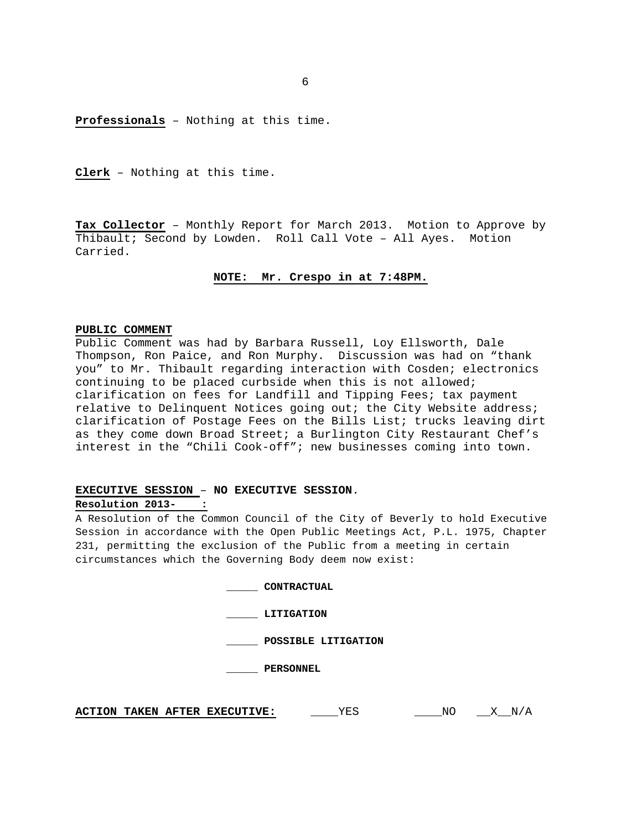**Professionals** – Nothing at this time.

**Clerk** – Nothing at this time.

**Tax Collector** – Monthly Report for March 2013. Motion to Approve by Thibault; Second by Lowden. Roll Call Vote – All Ayes. Motion Carried.

### **NOTE: Mr. Crespo in at 7:48PM.**

#### **PUBLIC COMMENT**

Public Comment was had by Barbara Russell, Loy Ellsworth, Dale Thompson, Ron Paice, and Ron Murphy. Discussion was had on "thank you" to Mr. Thibault regarding interaction with Cosden; electronics continuing to be placed curbside when this is not allowed; clarification on fees for Landfill and Tipping Fees; tax payment relative to Delinquent Notices going out; the City Website address; clarification of Postage Fees on the Bills List; trucks leaving dirt as they come down Broad Street; a Burlington City Restaurant Chef's interest in the "Chili Cook-off"; new businesses coming into town.

# **EXECUTIVE SESSION** – **NO EXECUTIVE SESSION**. **Resolution 2013- :**

A Resolution of the Common Council of the City of Beverly to hold Executive Session in accordance with the Open Public Meetings Act, P.L. 1975, Chapter 231, permitting the exclusion of the Public from a meeting in certain circumstances which the Governing Body deem now exist:

| <b>CONTRACTUAL</b>  |
|---------------------|
| LITIGATION          |
| POSSIBLE LITIGATION |
| <b>PERSONNEL</b>    |
|                     |

**ACTION TAKEN AFTER EXECUTIVE:** \_\_\_\_\_YES \_\_\_\_\_\_NO \_\_\_X\_\_N/A